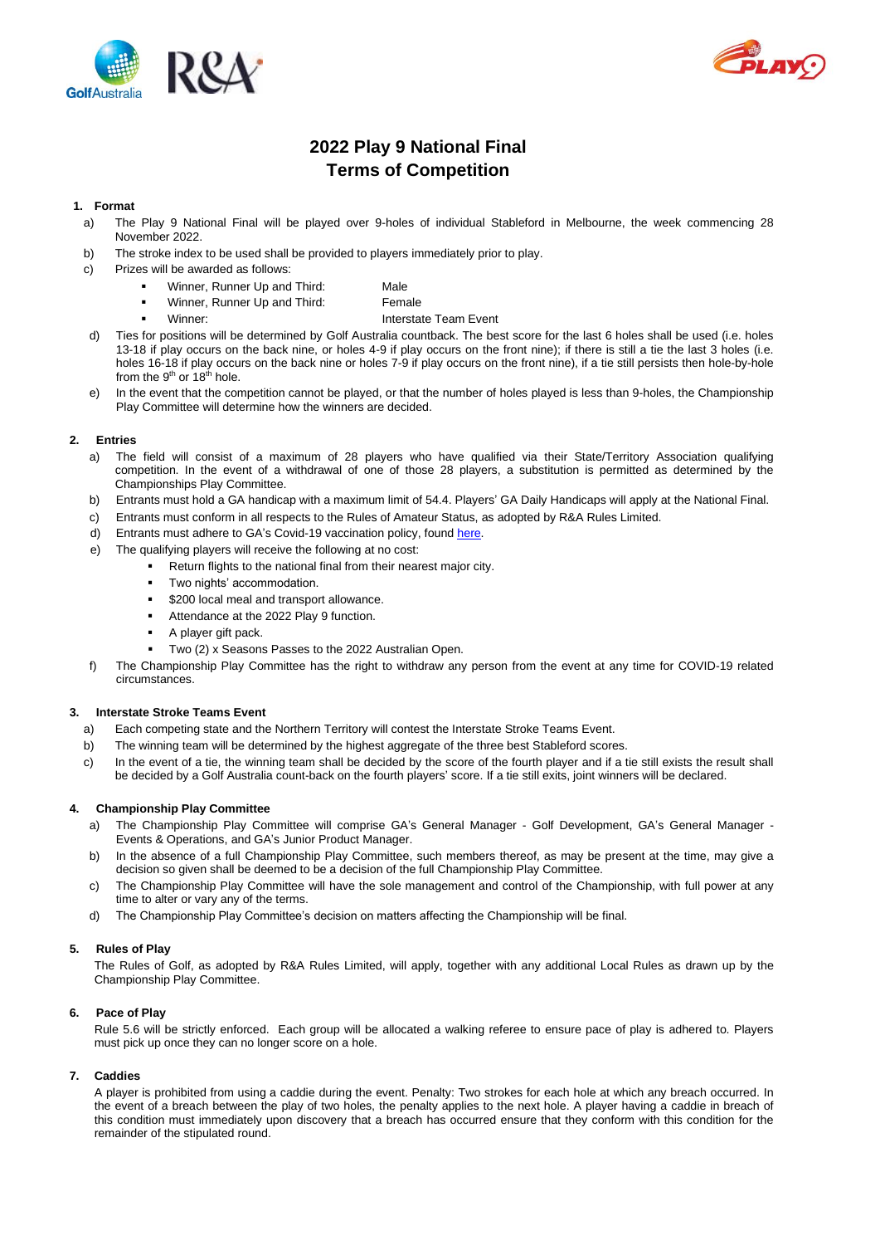



# **2022 Play 9 National Final Terms of Competition**

# **1. Format**

- a) The Play 9 National Final will be played over 9-holes of individual Stableford in Melbourne, the week commencing 28 November 2022.
- b) The stroke index to be used shall be provided to players immediately prior to play.
- c) Prizes will be awarded as follows:
	- Winner, Runner Up and Third: Male
		- Winner, Runner Up and Third: Female
		- Winner: **Interstate Team Event**
- d) Ties for positions will be determined by Golf Australia countback. The best score for the last 6 holes shall be used (i.e. holes 13-18 if play occurs on the back nine, or holes 4-9 if play occurs on the front nine); if there is still a tie the last 3 holes (i.e. holes 16-18 if play occurs on the back nine or holes 7-9 if play occurs on the front nine), if a tie still persists then hole-by-hole from the  $9<sup>th</sup>$  or 18<sup>th</sup> hole.
- In the event that the competition cannot be played, or that the number of holes played is less than 9-holes, the Championship Play Committee will determine how the winners are decided.

# **2. Entries**

- a) The field will consist of a maximum of 28 players who have qualified via their State/Territory Association qualifying competition. In the event of a withdrawal of one of those 28 players, a substitution is permitted as determined by the Championships Play Committee.
- b) Entrants must hold a GA handicap with a maximum limit of 54.4. Players' GA Daily Handicaps will apply at the National Final.
- c) Entrants must conform in all respects to the Rules of Amateur Status, as adopted by R&A Rules Limited.
- d) Entrants must adhere to GA's Covid-19 vaccination policy, foun[d here.](https://www.golf.org.au/events-statement)
- e) The qualifying players will receive the following at no cost:
	- **•** Return flights to the national final from their nearest major city.
	- Two nights' accommodation.
	- \$200 local meal and transport allowance.
	- Attendance at the 2022 Play 9 function.
	- A player gift pack.
	- Two (2) x Seasons Passes to the 2022 Australian Open.
- f) The Championship Play Committee has the right to withdraw any person from the event at any time for COVID-19 related circumstances.

## **3. Interstate Stroke Teams Event**

- a) Each competing state and the Northern Territory will contest the Interstate Stroke Teams Event.
- b) The winning team will be determined by the highest aggregate of the three best Stableford scores.
- c) In the event of a tie, the winning team shall be decided by the score of the fourth player and if a tie still exists the result shall be decided by a Golf Australia count-back on the fourth players' score. If a tie still exits, joint winners will be declared.

# **4. Championship Play Committee**

- a) The Championship Play Committee will comprise GA's General Manager Golf Development, GA's General Manager Events & Operations, and GA's Junior Product Manager.
- b) In the absence of a full Championship Play Committee, such members thereof, as may be present at the time, may give a decision so given shall be deemed to be a decision of the full Championship Play Committee.
- c) The Championship Play Committee will have the sole management and control of the Championship, with full power at any time to alter or vary any of the terms.
- d) The Championship Play Committee's decision on matters affecting the Championship will be final.

## **5. Rules of Play**

The Rules of Golf, as adopted by R&A Rules Limited, will apply, together with any additional Local Rules as drawn up by the Championship Play Committee.

# **6. Pace of Play**

Rule 5.6 will be strictly enforced. Each group will be allocated a walking referee to ensure pace of play is adhered to. Players must pick up once they can no longer score on a hole.

## **7. Caddies**

A player is prohibited from using a caddie during the event. Penalty: Two strokes for each hole at which any breach occurred. In the event of a breach between the play of two holes, the penalty applies to the next hole. A player having a caddie in breach of this condition must immediately upon discovery that a breach has occurred ensure that they conform with this condition for the remainder of the stipulated round.